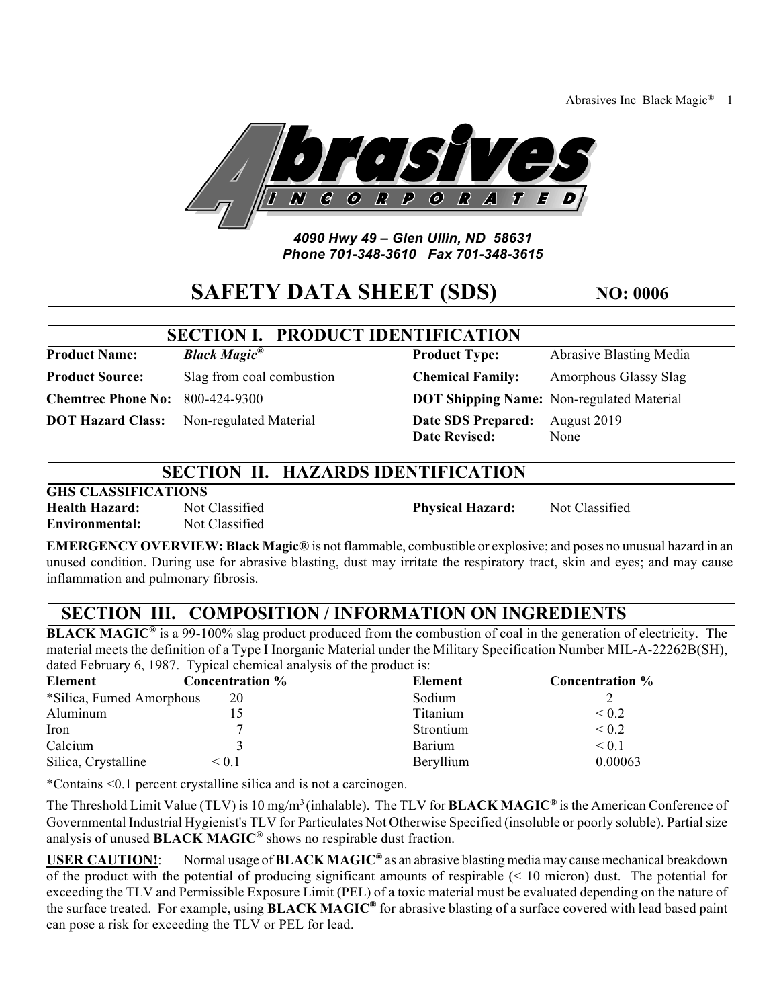Abrasives Inc Black Magic® 1



#### *4090 Hwy 49 – Glen Ullin, ND 58631 Phone 701-348-3610 Fax 701-348-3615*

# **SAFETY DATA SHEET (SDS)** NO: 0006

# **SECTION I. PRODUCT IDEN**

**Product Name: Black Magic<sup>®</sup>** 

**Product Source:** Slag from coal combustion

**Chemtrec Phone No:** 800-424-9300 **DOTE** 

**DOT Hazard Class:** Non-regulated Material **DAT** 

| TIFICATION              |                                           |
|-------------------------|-------------------------------------------|
| <b>Product Type:</b>    | Abrasive Blasting Media                   |
| <b>Chemical Family:</b> | Amorphous Glassy Slag                     |
|                         | DOT Shipping Name: Non-regulated Material |
| Date SDS Prepared:      | August 2019                               |
| <b>Date Revised:</b>    | None                                      |

# **SECTION II. HAZARDS IDENTIFICATION**

### **GHS CLASSIFICATIONS**

**Environmental:** Not Classified

**Health Hazard:** Not Classified **Physical Hazard:** Not Classified

**EMERGENCY OVERVIEW: Black Magic**® is not flammable, combustible or explosive; and poses no unusual hazard in an unused condition. During use for abrasive blasting, dust may irritate the respiratory tract, skin and eyes; and may cause inflammation and pulmonary fibrosis.

# **SECTION III. COMPOSITION / INFORMATION ON INGREDIENTS**

**BLACK MAGIC<sup>®</sup>** is a 99-100% slag product produced from the combustion of coal in the generation of electricity. The material meets the definition of a Type I Inorganic Material under the Military Specification Number MIL-A-22262B(SH), dated February 6, 1987. Typical chemical analysis of the product is:

| Element                  | Concentration % | Element   | <b>Concentration %</b> |
|--------------------------|-----------------|-----------|------------------------|
| *Silica, Fumed Amorphous | 20              | Sodium    |                        |
| Aluminum                 |                 | Titanium  | $\leq 0.2$             |
| Iron                     |                 | Strontium | $\leq 0.2$             |
| Calcium                  |                 | Barium    | ${}< 0.1$              |
| Silica, Crystalline      | ${}_{\leq 0.1}$ | Beryllium | 0.00063                |

\*Contains <0.1 percent crystalline silica and is not a carcinogen.

The Threshold Limit Value (TLV) is 10 mg/m3 (inhalable). The TLV for **BLACK MAGIC®** is the American Conference of Governmental Industrial Hygienist's TLV for Particulates Not Otherwise Specified (insoluble or poorly soluble). Partial size analysis of unused **BLACK MAGIC®** shows no respirable dust fraction.

**USER CAUTION!**: Normal usage of **BLACK MAGIC®** as an abrasive blasting media may cause mechanical breakdown of the product with the potential of producing significant amounts of respirable (< 10 micron) dust. The potential for exceeding the TLV and Permissible Exposure Limit (PEL) of a toxic material must be evaluated depending on the nature of the surface treated. For example, using **BLACK MAGIC®** for abrasive blasting of a surface covered with lead based paint can pose a risk for exceeding the TLV or PEL for lead.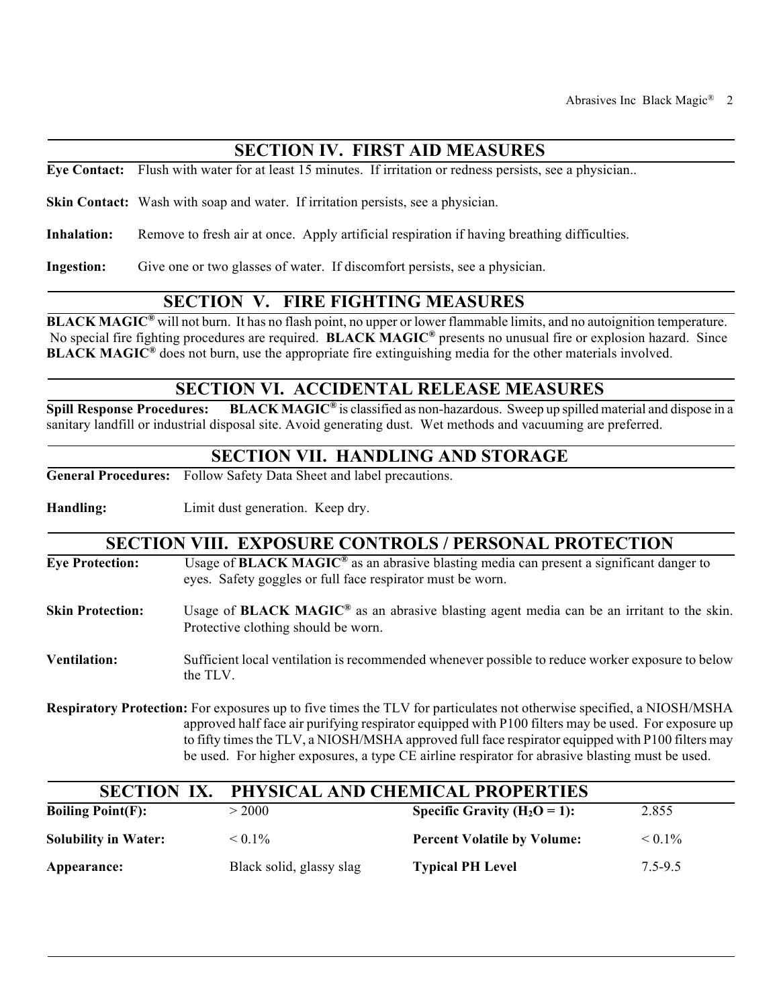# **SECTION IV. FIRST AID MEASURES**

**Eye Contact:** Flush with water for at least 15 minutes. If irritation or redness persists, see a physician..

**Skin Contact:** Wash with soap and water. If irritation persists, see a physician.

**Inhalation:** Remove to fresh air at once. Apply artificial respiration if having breathing difficulties.

**Ingestion:** Give one or two glasses of water. If discomfort persists, see a physician.

### **SECTION V. FIRE FIGHTING MEASURES**

**BLACK MAGIC<sup>®</sup>** will not burn. It has no flash point, no upper or lower flammable limits, and no autoignition temperature. No special fire fighting procedures are required. **BLACK MAGIC®** presents no unusual fire or explosion hazard. Since **BLACK MAGIC®** does not burn, use the appropriate fire extinguishing media for the other materials involved.

### **SECTION VI. ACCIDENTAL RELEASE MEASURES**

**Spill Response Procedures: BLACK MAGIC®** is classified as non-hazardous. Sweep up spilled material and dispose in a sanitary landfill or industrial disposal site. Avoid generating dust. Wet methods and vacuuming are preferred.

#### **SECTION VII. HANDLING AND STORAGE**

**General Procedures:** Follow Safety Data Sheet and label precautions.

**Handling:** Limit dust generation. Keep dry.

#### **SECTION VIII. EXPOSURE CONTROLS / PERSONAL PROTECTION**

| <b>Eve Protection:</b>  | Usage of <b>BLACK MAGIC<sup>®</sup></b> as an abrasive blasting media can present a significant danger to<br>eyes. Safety goggles or full face respirator must be worn. |
|-------------------------|-------------------------------------------------------------------------------------------------------------------------------------------------------------------------|
| <b>Skin Protection:</b> | Usage of <b>BLACK MAGIC</b> <sup>®</sup> as an abrasive blasting agent media can be an irritant to the skin.<br>Protective clothing should be worn.                     |
| <b>Ventilation:</b>     | Sufficient local ventilation is recommended whenever possible to reduce worker exposure to below<br>the TLV.                                                            |

**Respiratory Protection:** For exposures up to five times the TLV for particulates not otherwise specified, a NIOSH/MSHA approved half face air purifying respirator equipped with P100 filters may be used. For exposure up to fifty times the TLV, a NIOSH/MSHA approved full face respirator equipped with P100 filters may be used. For higher exposures, a type CE airline respirator for abrasive blasting must be used.

| <b>SECTION IX.</b>          | PHYSICAL AND CHEMICAL PROPERTIES |                                    |              |
|-----------------------------|----------------------------------|------------------------------------|--------------|
| Boiling $Point(F)$ :        | >2000                            | Specific Gravity ( $H_2O = 1$ ):   | 2.855        |
| <b>Solubility in Water:</b> | $< 0.1\%$                        | <b>Percent Volatile by Volume:</b> | $\leq 0.1\%$ |
| Appearance:                 | Black solid, glassy slag         | <b>Typical PH Level</b>            | 7.5-9.5      |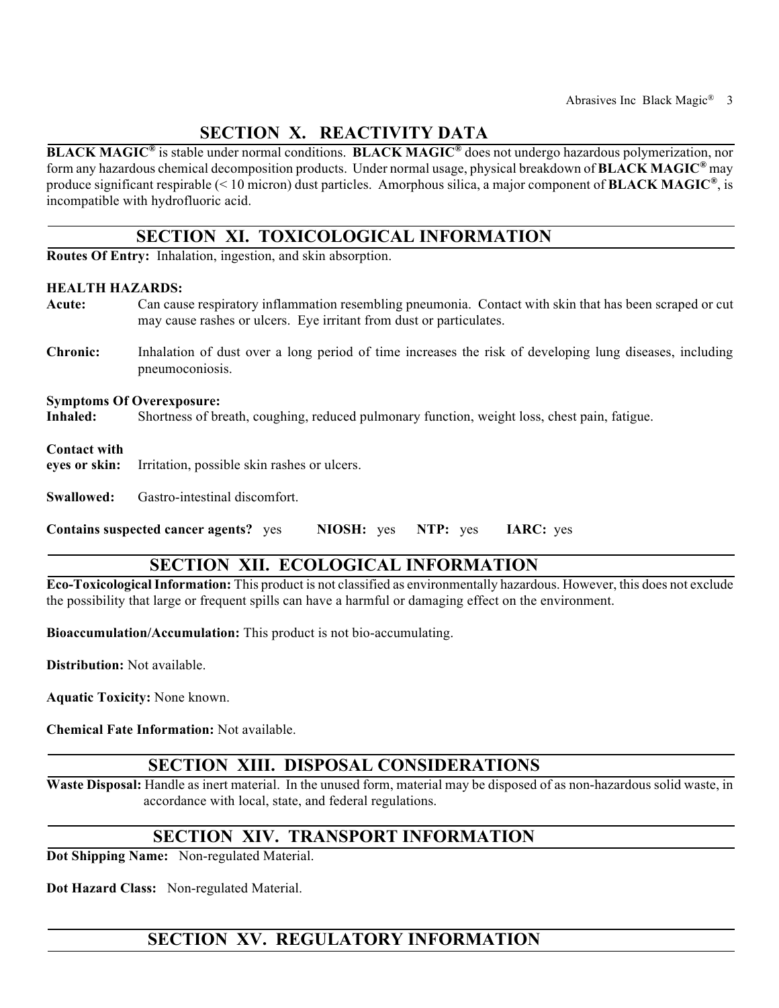# **SECTION X. REACTIVITY DATA**

**BLACK MAGIC®** is stable under normal conditions. **BLACK MAGIC®** does not undergo hazardous polymerization, nor form any hazardous chemical decomposition products. Under normal usage, physical breakdown of **BLACK MAGIC®** may produce significant respirable (< 10 micron) dust particles. Amorphous silica, a major component of **BLACK MAGIC®**, is incompatible with hydrofluoric acid.

## **SECTION XI. TOXICOLOGICAL INFORMATION**

**Routes Of Entry:** Inhalation, ingestion, and skin absorption.

#### **HEALTH HAZARDS:**

- **Acute:** Can cause respiratory inflammation resembling pneumonia. Contact with skin that has been scraped or cut may cause rashes or ulcers. Eye irritant from dust or particulates.
- **Chronic:** Inhalation of dust over a long period of time increases the risk of developing lung diseases, including pneumoconiosis.

#### **Symptoms Of Overexposure:**

**Inhaled:** Shortness of breath, coughing, reduced pulmonary function, weight loss, chest pain, fatigue.

#### **Contact with**

**eyes or skin:** Irritation, possible skin rashes or ulcers.

**Swallowed:** Gastro-intestinal discomfort.

**Contains suspected cancer agents?** yes **NIOSH:** yes **NTP:** yes **IARC:** yes

## **SECTION XII. ECOLOGICAL INFORMATION**

**Eco-Toxicological Information:** This product is not classified as environmentally hazardous. However, this does not exclude the possibility that large or frequent spills can have a harmful or damaging effect on the environment.

**Bioaccumulation/Accumulation:** This product is not bio-accumulating.

**Distribution:** Not available.

**Aquatic Toxicity:** None known.

**Chemical Fate Information:** Not available.

### **SECTION XIII. DISPOSAL CONSIDERATIONS**

**Waste Disposal:** Handle as inert material. In the unused form, material may be disposed of as non-hazardous solid waste, in accordance with local, state, and federal regulations.

### **SECTION XIV. TRANSPORT INFORMATION**

**Dot Shipping Name:** Non-regulated Material.

**Dot Hazard Class:** Non-regulated Material.

# **SECTION XV. REGULATORY INFORMATION**